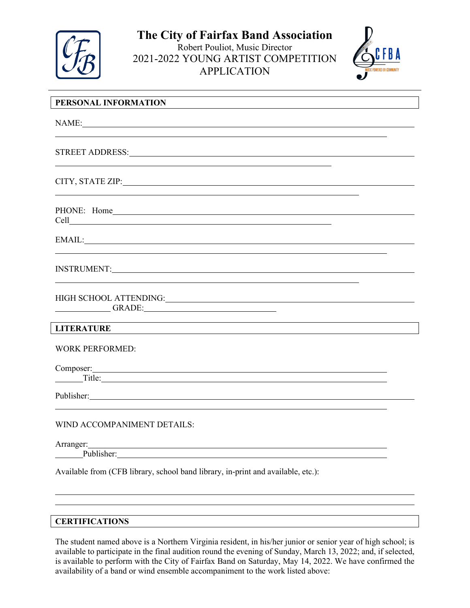

**The City of Fairfax Band Association** Robert Pouliot, Music Director 2021-2022 YOUNG ARTIST COMPETITION APPLICATION



| PERSONAL INFORMATION                                                                                                                                                                                                                                                                                                                                                 |
|----------------------------------------------------------------------------------------------------------------------------------------------------------------------------------------------------------------------------------------------------------------------------------------------------------------------------------------------------------------------|
| NAME:                                                                                                                                                                                                                                                                                                                                                                |
| <u> 1980 - Johann Stein, marwolaethau a bhann an t-Amhair ann an t-Amhair an t-Amhair an t-Amhair an t-Amhair an</u>                                                                                                                                                                                                                                                 |
| CITY, STATE ZIP: North Case of the CITY, STATE ZIP:                                                                                                                                                                                                                                                                                                                  |
|                                                                                                                                                                                                                                                                                                                                                                      |
| EMAIL: The contract of the contract of the contract of the contract of the contract of the contract of the contract of the contract of the contract of the contract of the contract of the contract of the contract of the con                                                                                                                                       |
|                                                                                                                                                                                                                                                                                                                                                                      |
| HIGH SCHOOL ATTENDING:<br><u> </u><br>GRADE: GRADE:                                                                                                                                                                                                                                                                                                                  |
| <b>LITERATURE</b>                                                                                                                                                                                                                                                                                                                                                    |
| <b>WORK PERFORMED:</b>                                                                                                                                                                                                                                                                                                                                               |
| Composer: <u>Composer</u><br>Title:                                                                                                                                                                                                                                                                                                                                  |
| Publisher: New York: New York: New York: New York: New York: New York: New York: New York: New York: New York:                                                                                                                                                                                                                                                       |
| WIND ACCOMPANIMENT DETAILS:                                                                                                                                                                                                                                                                                                                                          |
| Arranger:<br><u> 1980 - Johann Stoff, deutscher Stoffen und der Stoffen und der Stoffen und der Stoffen und der Stoffen und de</u><br>Publisher: New York Contract of the Contract of the Contract of the Contract of the Contract of the Contract of the Contract of the Contract of the Contract of the Contract of the Contract of the Contract of the Contract o |
| Available from (CFB library, school band library, in-print and available, etc.):                                                                                                                                                                                                                                                                                     |

#### **CERTIFICATIONS**

The student named above is a Northern Virginia resident, in his/her junior or senior year of high school; is available to participate in the final audition round the evening of Sunday, March 13, 2022; and, if selected, is available to perform with the City of Fairfax Band on Saturday, May 14, 2022. We have confirmed the availability of a band or wind ensemble accompaniment to the work listed above: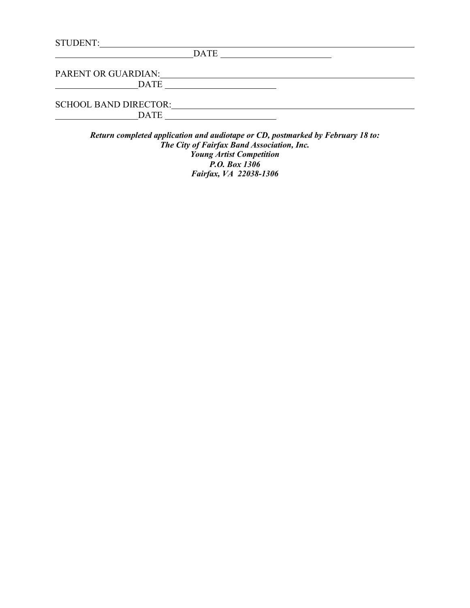| <b>STUDENT:</b>              |             |  |
|------------------------------|-------------|--|
|                              | <b>DATE</b> |  |
| PARENT OR GUARDIAN:          |             |  |
| <b>DATE</b>                  |             |  |
| <b>SCHOOL BAND DIRECTOR:</b> |             |  |
| <b>DATE</b>                  |             |  |

*Return completed application and audiotape or CD, postmarked by February 18 to: The City of Fairfax Band Association, Inc. Young Artist Competition P.O. Box 1306 Fairfax, VA 22038-1306*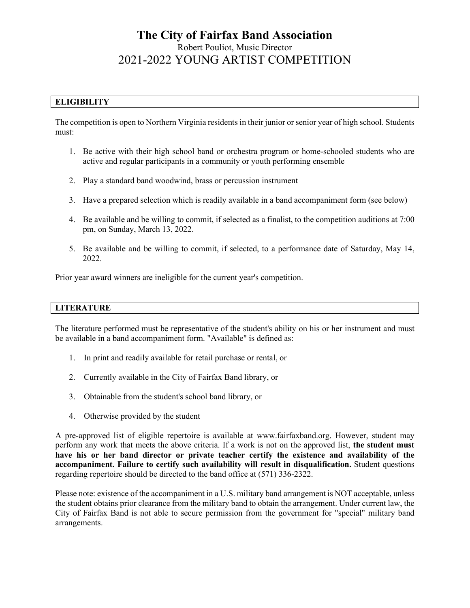# **The City of Fairfax Band Association** Robert Pouliot, Music Director 2021-2022 YOUNG ARTIST COMPETITION

## **ELIGIBILITY**

The competition is open to Northern Virginia residents in their junior or senior year of high school. Students must:

- 1. Be active with their high school band or orchestra program or home-schooled students who are active and regular participants in a community or youth performing ensemble
- 2. Play a standard band woodwind, brass or percussion instrument
- 3. Have a prepared selection which is readily available in a band accompaniment form (see below)
- 4. Be available and be willing to commit, if selected as a finalist, to the competition auditions at 7:00 pm, on Sunday, March 13, 2022.
- 5. Be available and be willing to commit, if selected, to a performance date of Saturday, May 14, 2022.

Prior year award winners are ineligible for the current year's competition.

## **LITERATURE**

The literature performed must be representative of the student's ability on his or her instrument and must be available in a band accompaniment form. "Available" is defined as:

- 1. In print and readily available for retail purchase or rental, or
- 2. Currently available in the City of Fairfax Band library, or
- 3. Obtainable from the student's school band library, or
- 4. Otherwise provided by the student

A pre-approved list of eligible repertoire is available at www.fairfaxband.org. However, student may perform any work that meets the above criteria. If a work is not on the approved list, **the student must have his or her band director or private teacher certify the existence and availability of the accompaniment. Failure to certify such availability will result in disqualification.** Student questions regarding repertoire should be directed to the band office at (571) 336-2322.

Please note: existence of the accompaniment in a U.S. military band arrangement is NOT acceptable, unless the student obtains prior clearance from the military band to obtain the arrangement. Under current law, the City of Fairfax Band is not able to secure permission from the government for "special" military band arrangements.